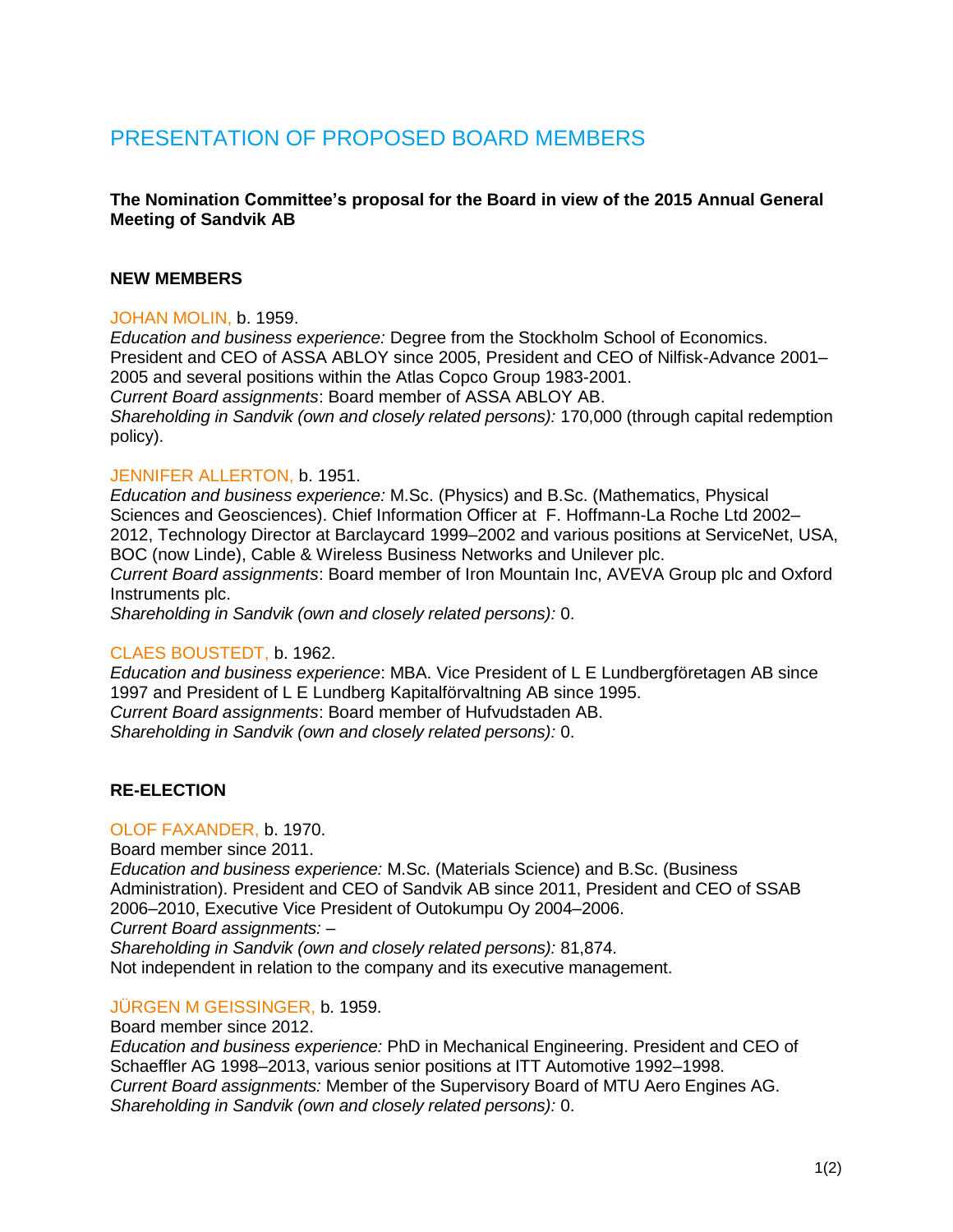# PRESENTATION OF PROPOSED BOARD MEMBERS

# **The Nomination Committee's proposal for the Board in view of the 2015 Annual General Meeting of Sandvik AB**

# **NEW MEMBERS**

#### JOHAN MOLIN, b. 1959.

*Education and business experience:* Degree from the Stockholm School of Economics. President and CEO of ASSA ABLOY since 2005, President and CEO of Nilfisk-Advance 2001– 2005 and several positions within the Atlas Copco Group 1983-2001. *Current Board assignments*: Board member of ASSA ABLOY AB. *Shareholding in Sandvik (own and closely related persons):* 170,000 (through capital redemption policy).

#### JENNIFER ALLERTON, b. 1951.

*Education and business experience:* M.Sc. (Physics) and B.Sc. (Mathematics, Physical Sciences and Geosciences). Chief Information Officer at F. Hoffmann-La Roche Ltd 2002– 2012, Technology Director at Barclaycard 1999–2002 and various positions at ServiceNet, USA, BOC (now Linde), Cable & Wireless Business Networks and Unilever plc. *Current Board assignments*: Board member of Iron Mountain Inc, AVEVA Group plc and Oxford Instruments plc.

*Shareholding in Sandvik (own and closely related persons):* 0.

#### CLAES BOUSTEDT, b. 1962.

*Education and business experience*: MBA. Vice President of L E Lundbergföretagen AB since 1997 and President of L E Lundberg Kapitalförvaltning AB since 1995. *Current Board assignments*: Board member of Hufvudstaden AB. *Shareholding in Sandvik (own and closely related persons):* 0.

# **RE-ELECTION**

# OLOF FAXANDER, b. 1970.

Board member since 2011.

*Education and business experience:* M.Sc. (Materials Science) and B.Sc. (Business Administration). President and CEO of Sandvik AB since 2011, President and CEO of SSAB 2006–2010, Executive Vice President of Outokumpu Oy 2004–2006. *Current Board assignments:* –

*Shareholding in Sandvik (own and closely related persons):* 81,874.

Not independent in relation to the company and its executive management.

# JÜRGEN M GEISSINGER, b. 1959.

Board member since 2012.

*Education and business experience:* PhD in Mechanical Engineering. President and CEO of Schaeffler AG 1998–2013, various senior positions at ITT Automotive 1992–1998. *Current Board assignments:* Member of the Supervisory Board of MTU Aero Engines AG. *Shareholding in Sandvik (own and closely related persons):* 0.